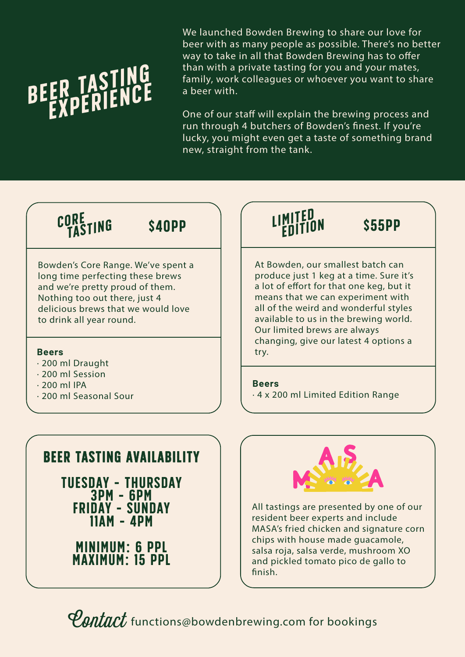# TASTING

We launched Bowden Brewing to share our love for beer with as many people as possible. There's no better way to take in all that Bowden Brewing has to offer than with a private tasting for you and your mates, family, work colleagues or whoever you want to share a beer with.

One of our staff will explain the brewing process and run through 4 butchers of Bowden's finest. If you're lucky, you might even get a taste of something brand new, straight from the tank.

#### CORE SANDP TING

Bowden's Core Range. We've spent a long time perfecting these brews and we're pretty proud of them. Nothing too out there, just 4 delicious brews that we would love to drink all year round.

#### **Beers**

- ∙ 200 ml Draught
- ∙ 200 ml Session
- ∙ 200 ml IPA
- ∙ 200 ml Seasonal Sour

## edition

At Bowden, our smallest batch can produce just 1 keg at a time. Sure it's a lot of effort for that one keg, but it means that we can experiment with all of the weird and wonderful styles available to us in the brewing world. Our limited brews are always changing, give our latest 4 options a try.

\$55PP

**Beers**

∙ 4 x 200 ml Limited Edition Range

### beer tasting availability

tuesday - thursday 3pm - 6pm friday - sunday 11am - 4pm

minimum: 6 ppl maximum: 15 ppl



All tastings are presented by one of our resident beer experts and include MASA's fried chicken and signature corn chips with house made guacamole, salsa roja, salsa verde, mushroom XO and pickled tomato pico de gallo to finish.

*Contact* functions@bowdenbrewing.com for bookings